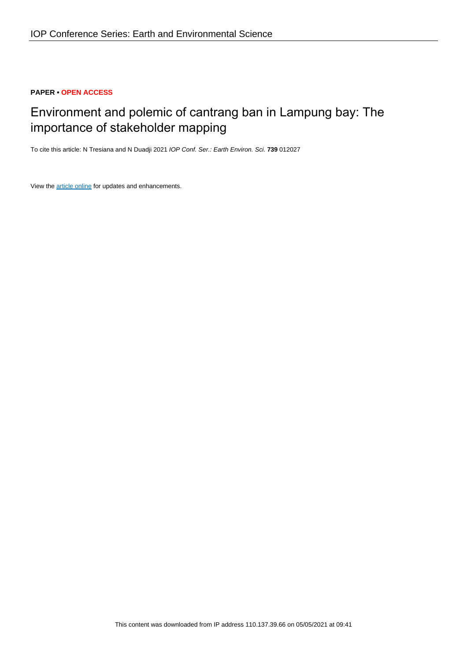## **PAPER • OPEN ACCESS**

# Environment and polemic of cantrang ban in Lampung bay: The importance of stakeholder mapping

To cite this article: N Tresiana and N Duadji 2021 IOP Conf. Ser.: Earth Environ. Sci. **739** 012027

View the [article online](https://doi.org/10.1088/1755-1315/739/1/012027) for updates and enhancements.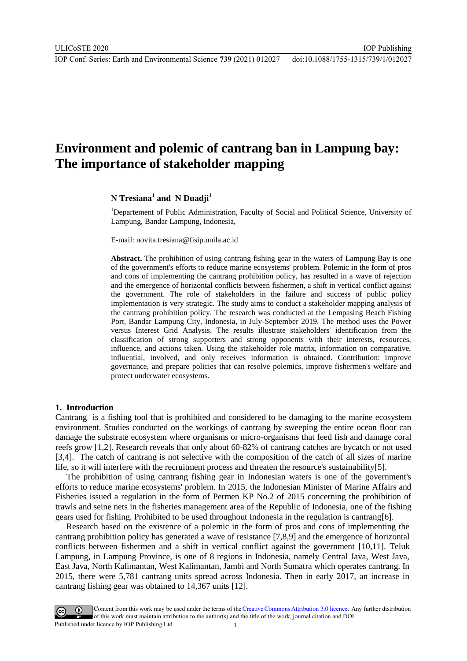IOP Publishing

## **Environment and polemic of cantrang ban in Lampung bay: The importance of stakeholder mapping**

## **N Tresiana<sup>1</sup> and N Duadji<sup>1</sup>**

<sup>1</sup>Departement of Public Administration, Faculty of Social and Political Science, University of Lampung, Bandar Lampung, Indonesia,

[E-mail: novita.tresiana@fisip.unila.ac.id](mailto:E-mail:%20novita.tresiana@fisip.unila.ac.id)

**Abstract.** The prohibition of using cantrang fishing gear in the waters of Lampung Bay is one of the government's efforts to reduce marine ecosystems' problem. Polemic in the form of pros and cons of implementing the cantrang prohibition policy, has resulted in a wave of rejection and the emergence of horizontal conflicts between fishermen, a shift in vertical conflict against the government. The role of stakeholders in the failure and success of public policy implementation is very strategic. The study aims to conduct a stakeholder mapping analysis of the cantrang prohibition policy. The research was conducted at the Lempasing Beach Fishing Port, Bandar Lampung City, Indonesia, in July-September 2019. The method uses the Power versus Interest Grid Analysis. The results illustrate stakeholders' identification from the classification of strong supporters and strong opponents with their interests, resources, influence, and actions taken. Using the stakeholder role matrix, information on comparative, influential, involved, and only receives information is obtained. Contribution: improve governance, and prepare policies that can resolve polemics, improve fishermen's welfare and protect underwater ecosystems.

#### **1. Introduction**

Cantrang is a fishing tool that is prohibited and considered to be damaging to the marine ecosystem environment. Studies conducted on the workings of cantrang by sweeping the entire ocean floor can damage the substrate ecosystem where organisms or micro-organisms that feed fish and damage coral reefs grow [1,2]. Research reveals that only about 60-82% of cantrang catches are bycatch or not used [3,4]. The catch of cantrang is not selective with the composition of the catch of all sizes of marine life, so it will interfere with the recruitment process and threaten the resource's sustainability[5].

The prohibition of using cantrang fishing gear in Indonesian waters is one of the government's efforts to reduce marine ecosystems' problem. In 2015, the Indonesian Minister of Marine Affairs and Fisheries issued a regulation in the form of Permen KP No.2 of 2015 concerning the prohibition of trawls and seine nets in the fisheries management area of the Republic of Indonesia, one of the fishing gears used for fishing. Prohibited to be used throughout Indonesia in the regulation is cantrang[6].

Research based on the existence of a polemic in the form of pros and cons of implementing the cantrang prohibition policy has generated a wave of resistance [7,8,9] and the emergence of horizontal conflicts between fishermen and a shift in vertical conflict against the government [10,11]. Teluk Lampung, in Lampung Province, is one of 8 regions in Indonesia, namely Central Java, West Java, East Java, North Kalimantan, West Kalimantan, Jambi and North Sumatra which operates cantrang. In 2015, there were 5,781 cantrang units spread across Indonesia. Then in early 2017, an increase in cantrang fishing gear was obtained to 14,367 units [12].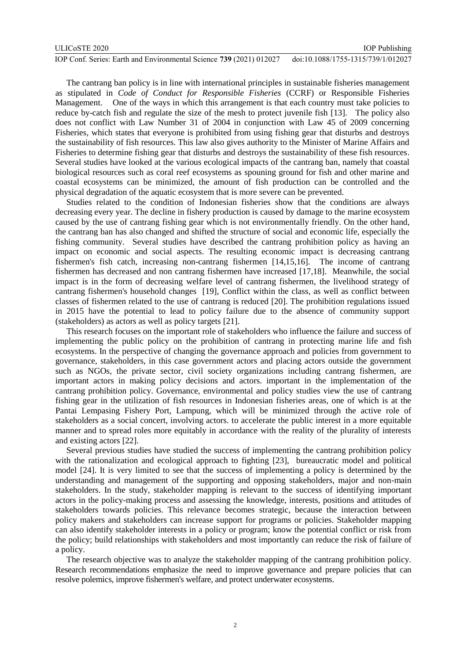The cantrang ban policy is in line with international principles in sustainable fisheries management as stipulated in *Code of Conduct for Responsible Fisheries* (CCRF) or Responsible Fisheries Management. One of the ways in which this arrangement is that each country must take policies to reduce by-catch fish and regulate the size of the mesh to protect juvenile fish [13]. The policy also does not conflict with Law Number 31 of 2004 in conjunction with Law 45 of 2009 concerning Fisheries, which states that everyone is prohibited from using fishing gear that disturbs and destroys the sustainability of fish resources. This law also gives authority to the Minister of Marine Affairs and Fisheries to determine fishing gear that disturbs and destroys the sustainability of these fish resources. Several studies have looked at the various ecological impacts of the cantrang ban, namely that coastal biological resources such as coral reef ecosystems as spouning ground for fish and other marine and coastal ecosystems can be minimized, the amount of fish production can be controlled and the physical degradation of the aquatic ecosystem that is more severe can be prevented.

Studies related to the condition of Indonesian fisheries show that the conditions are always decreasing every year. The decline in fishery production is caused by damage to the marine ecosystem caused by the use of cantrang fishing gear which is not environmentally friendly. On the other hand, the cantrang ban has also changed and shifted the structure of social and economic life, especially the fishing community. Several studies have described the cantrang prohibition policy as having an impact on economic and social aspects. The resulting economic impact is decreasing cantrang fishermen's fish catch, increasing non-cantrang fishermen [14,15,16]. The income of cantrang fishermen has decreased and non cantrang fishermen have increased [17,18]. Meanwhile, the social impact is in the form of decreasing welfare level of cantrang fishermen, the livelihood strategy of cantrang fishermen's household changes [19], Conflict within the class, as well as conflict between classes of fishermen related to the use of cantrang is reduced [20]. The prohibition regulations issued in 2015 have the potential to lead to policy failure due to the absence of community support (stakeholders) as actors as well as policy targets [21].

This research focuses on the important role of stakeholders who influence the failure and success of implementing the public policy on the prohibition of cantrang in protecting marine life and fish ecosystems. In the perspective of changing the governance approach and policies from government to governance, stakeholders, in this case government actors and placing actors outside the government such as NGOs, the private sector, civil society organizations including cantrang fishermen, are important actors in making policy decisions and actors. important in the implementation of the cantrang prohibition policy. Governance, environmental and policy studies view the use of cantrang fishing gear in the utilization of fish resources in Indonesian fisheries areas, one of which is at the Pantai Lempasing Fishery Port, Lampung, which will be minimized through the active role of stakeholders as a social concert, involving actors. to accelerate the public interest in a more equitable manner and to spread roles more equitably in accordance with the reality of the plurality of interests and existing actors [22].

Several previous studies have studied the success of implementing the cantrang prohibition policy with the rationalization and ecological approach to fighting [23], bureaucratic model and political model [24]. It is very limited to see that the success of implementing a policy is determined by the understanding and management of the supporting and opposing stakeholders, major and non-main stakeholders. In the study, stakeholder mapping is relevant to the success of identifying important actors in the policy-making process and assessing the knowledge, interests, positions and attitudes of stakeholders towards policies. This relevance becomes strategic, because the interaction between policy makers and stakeholders can increase support for programs or policies. Stakeholder mapping can also identify stakeholder interests in a policy or program; know the potential conflict or risk from the policy; build relationships with stakeholders and most importantly can reduce the risk of failure of a policy.

The research objective was to analyze the stakeholder mapping of the cantrang prohibition policy. Research recommendations emphasize the need to improve governance and prepare policies that can resolve polemics, improve fishermen's welfare, and protect underwater ecosystems.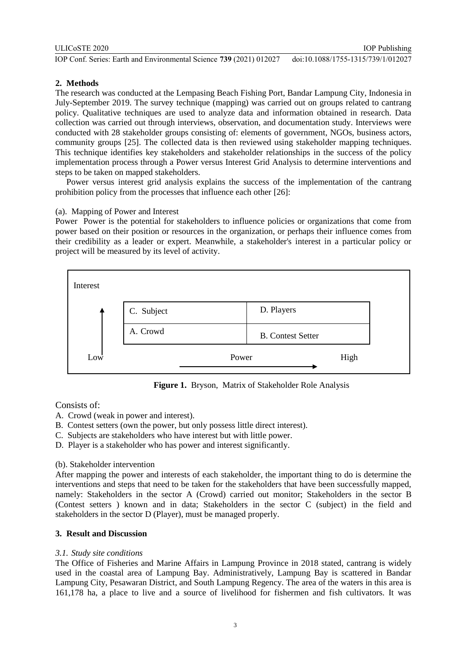## **2. Methods**

The research was conducted at the Lempasing Beach Fishing Port, Bandar Lampung City, Indonesia in July-September 2019. The survey technique (mapping) was carried out on groups related to cantrang policy. Qualitative techniques are used to analyze data and information obtained in research. Data collection was carried out through interviews, observation, and documentation study. Interviews were conducted with 28 stakeholder groups consisting of: elements of government, NGOs, business actors, community groups [25]. The collected data is then reviewed using stakeholder mapping techniques. This technique identifies key stakeholders and stakeholder relationships in the success of the policy implementation process through a Power versus Interest Grid Analysis to determine interventions and steps to be taken on mapped stakeholders.

Power versus interest grid analysis explains the success of the implementation of the cantrang prohibition policy from the processes that influence each other [26]:

#### (a). Mapping of Power and Interest

Power Power is the potential for stakeholders to influence policies or organizations that come from power based on their position or resources in the organization, or perhaps their influence comes from their credibility as a leader or expert. Meanwhile, a stakeholder's interest in a particular policy or project will be measured by its level of activity.



**Figure 1.** Bryson, Matrix of Stakeholder Role Analysis

Consists of:

- A. Crowd (weak in power and interest).
- B. Contest setters (own the power, but only possess little direct interest).
- C. Subjects are stakeholders who have interest but with little power.
- D. Player is a stakeholder who has power and interest significantly.

### (b). Stakeholder intervention

After mapping the power and interests of each stakeholder, the important thing to do is determine the interventions and steps that need to be taken for the stakeholders that have been successfully mapped, namely: Stakeholders in the sector A (Crowd) carried out monitor; Stakeholders in the sector B (Contest setters ) known and in data; Stakeholders in the sector C (subject) in the field and stakeholders in the sector D (Player), must be managed properly.

### **3. Result and Discussion**

### *3.1. Study site conditions*

The Office of Fisheries and Marine Affairs in Lampung Province in 2018 stated, cantrang is widely used in the coastal area of Lampung Bay. Administratively, Lampung Bay is scattered in Bandar Lampung City, Pesawaran District, and South Lampung Regency. The area of the waters in this area is 161,178 ha, a place to live and a source of livelihood for fishermen and fish cultivators. It was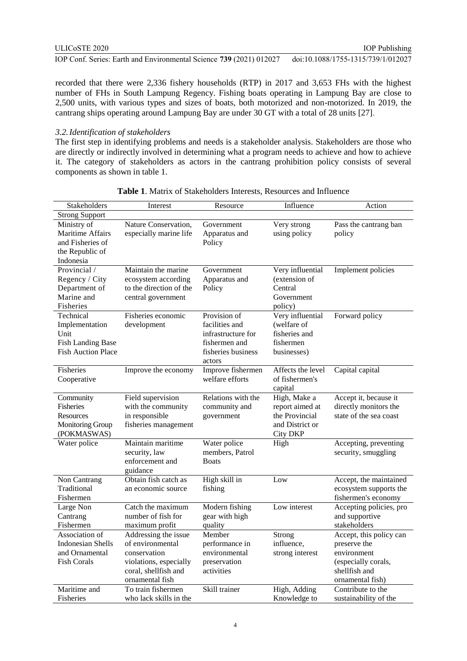recorded that there were 2,336 fishery households (RTP) in 2017 and 3,653 FHs with the highest number of FHs in South Lampung Regency. Fishing boats operating in Lampung Bay are close to 2,500 units, with various types and sizes of boats, both motorized and non-motorized. In 2019, the cantrang ships operating around Lampung Bay are under 30 GT with a total of 28 units [27].

#### *3.2.Identification of stakeholders*

The first step in identifying problems and needs is a stakeholder analysis. Stakeholders are those who are directly or indirectly involved in determining what a program needs to achieve and how to achieve it. The category of stakeholders as actors in the cantrang prohibition policy consists of several components as shown in table 1.

| <b>Strong Support</b><br>Ministry of<br>Nature Conservation,<br>Very strong<br>Pass the cantrang ban<br>Government<br><b>Maritime Affairs</b><br>especially marine life<br>Apparatus and<br>using policy<br>policy |        |                  | Resource | Influence | Action                  |
|--------------------------------------------------------------------------------------------------------------------------------------------------------------------------------------------------------------------|--------|------------------|----------|-----------|-------------------------|
|                                                                                                                                                                                                                    |        |                  |          |           |                         |
|                                                                                                                                                                                                                    |        |                  |          |           |                         |
|                                                                                                                                                                                                                    |        |                  |          |           |                         |
|                                                                                                                                                                                                                    | Policy | and Fisheries of |          |           |                         |
| the Republic of                                                                                                                                                                                                    |        |                  |          |           |                         |
| Indonesia                                                                                                                                                                                                          |        |                  |          |           |                         |
| Very influential<br>Provincial /<br>Maintain the marine<br>Government<br>Implement policies                                                                                                                        |        |                  |          |           |                         |
| Regency / City<br>(extension of<br>ecosystem according<br>Apparatus and                                                                                                                                            |        |                  |          |           |                         |
| Department of<br>to the direction of the<br>Policy<br>Central                                                                                                                                                      |        |                  |          |           |                         |
| Marine and<br>central government<br>Government                                                                                                                                                                     |        |                  |          |           |                         |
| Fisheries<br>policy)                                                                                                                                                                                               |        |                  |          |           |                         |
| Provision of<br>Very influential<br>Technical<br>Fisheries economic<br>Forward policy                                                                                                                              |        |                  |          |           |                         |
| facilities and<br>(welfare of<br>Implementation<br>development                                                                                                                                                     |        |                  |          |           |                         |
| fisheries and<br>Unit<br>infrastructure for                                                                                                                                                                        |        |                  |          |           |                         |
| <b>Fish Landing Base</b><br>fishermen and<br>fishermen                                                                                                                                                             |        |                  |          |           |                         |
| <b>Fish Auction Place</b><br>fisheries business<br>businesses)                                                                                                                                                     |        |                  |          |           |                         |
| actors                                                                                                                                                                                                             |        |                  |          |           |                         |
| Improve fishermen<br><b>Fisheries</b><br>Improve the economy<br>Affects the level<br>Capital capital                                                                                                               |        |                  |          |           |                         |
| welfare efforts<br>of fishermen's<br>Cooperative                                                                                                                                                                   |        |                  |          |           |                         |
| capital                                                                                                                                                                                                            |        |                  |          |           |                         |
| Field supervision<br>Relations with the<br>High, Make a<br>Accept it, because it<br>Community                                                                                                                      |        |                  |          |           |                         |
| with the community<br>directly monitors the<br><b>Fisheries</b><br>community and<br>report aimed at                                                                                                                |        |                  |          |           |                         |
| in responsible<br>the Provincial<br>state of the sea coast<br>Resources<br>government                                                                                                                              |        |                  |          |           |                         |
| and District or<br><b>Monitoring Group</b><br>fisheries management                                                                                                                                                 |        |                  |          |           |                         |
| (POKMASWAS)<br><b>City DKP</b>                                                                                                                                                                                     |        |                  |          |           |                         |
| Water police<br>Maintain maritime<br>Water police<br>Accepting, preventing<br>High                                                                                                                                 |        |                  |          |           |                         |
| members, Patrol<br>security, smuggling<br>security, law                                                                                                                                                            |        |                  |          |           |                         |
| enforcement and<br><b>Boats</b>                                                                                                                                                                                    |        |                  |          |           |                         |
| guidance                                                                                                                                                                                                           |        |                  |          |           |                         |
| High skill in<br>Non Cantrang<br>Obtain fish catch as<br>Low                                                                                                                                                       |        |                  |          |           | Accept, the maintained  |
| Traditional<br>an economic source<br>fishing                                                                                                                                                                       |        |                  |          |           | ecosystem supports the  |
| fishermen's economy<br>Fishermen                                                                                                                                                                                   |        |                  |          |           |                         |
| Catch the maximum<br>Modern fishing<br>Low interest<br>Large Non                                                                                                                                                   |        |                  |          |           | Accepting policies, pro |
| Cantrang<br>number of fish for<br>gear with high<br>and supportive                                                                                                                                                 |        |                  |          |           |                         |
| Fishermen<br>maximum profit<br>quality<br>stakeholders                                                                                                                                                             |        |                  |          |           |                         |
| Association of<br>Member<br>Accept, this policy can<br>Addressing the issue<br>Strong                                                                                                                              |        |                  |          |           |                         |
| <b>Indonesian Shells</b><br>of environmental<br>performance in<br>influence,<br>preserve the                                                                                                                       |        |                  |          |           |                         |
| and Ornamental<br>conservation<br>environmental<br>strong interest<br>environment                                                                                                                                  |        |                  |          |           |                         |
| <b>Fish Corals</b><br>preservation<br>violations, especially<br>(especially corals,                                                                                                                                |        |                  |          |           |                         |
| shellfish and<br>coral, shellfish and<br>activities                                                                                                                                                                |        |                  |          |           |                         |
| ornamental fish<br>ornamental fish)                                                                                                                                                                                |        |                  |          |           |                         |
| Maritime and<br>High, Adding<br>To train fishermen<br>Skill trainer<br>Contribute to the                                                                                                                           |        |                  |          |           |                         |
| who lack skills in the<br>Knowledge to<br>Fisheries<br>sustainability of the                                                                                                                                       |        |                  |          |           |                         |

**Table 1**. Matrix of Stakeholders Interests, Resources and Influence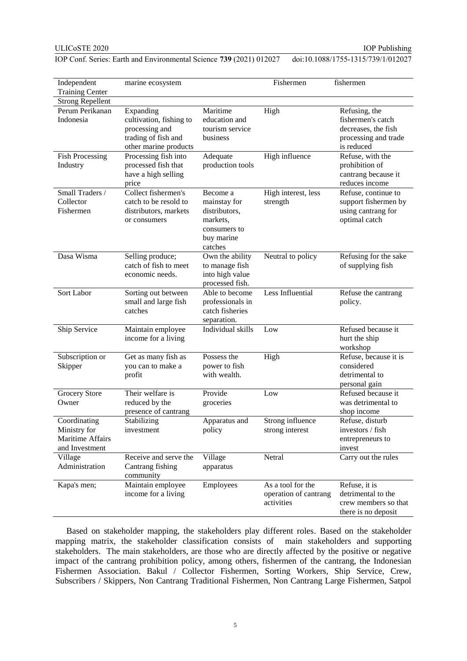IOP Publishing

IOP Conf. Series: Earth and Environmental Science **739** (2021) 012027 doi:10.1088/1755-1315/739/1/012027

| Independent<br><b>Training Center</b>                              | marine ecosystem                                                                                       |                                                                                                | Fishermen                                                | fishermen                                                                                       |
|--------------------------------------------------------------------|--------------------------------------------------------------------------------------------------------|------------------------------------------------------------------------------------------------|----------------------------------------------------------|-------------------------------------------------------------------------------------------------|
| <b>Strong Repellent</b>                                            |                                                                                                        |                                                                                                |                                                          |                                                                                                 |
| Perum Perikanan<br>Indonesia                                       | Expanding<br>cultivation, fishing to<br>processing and<br>trading of fish and<br>other marine products | Maritime<br>education and<br>tourism service<br>business                                       | High                                                     | Refusing, the<br>fishermen's catch<br>decreases, the fish<br>processing and trade<br>is reduced |
| <b>Fish Processing</b><br>Industry                                 | Processing fish into<br>processed fish that<br>have a high selling<br>price                            | Adequate<br>production tools                                                                   | High influence                                           | Refuse, with the<br>prohibition of<br>cantrang because it<br>reduces income                     |
| Small Traders /<br>Collector<br>Fishermen                          | Collect fishermen's<br>catch to be resold to<br>distributors, markets<br>or consumers                  | Become a<br>mainstay for<br>distributors,<br>markets,<br>consumers to<br>buy marine<br>catches | High interest, less<br>strength                          | Refuse, continue to<br>support fishermen by<br>using cantrang for<br>optimal catch              |
| Dasa Wisma                                                         | Selling produce;<br>catch of fish to meet<br>economic needs.                                           | Own the ability<br>to manage fish<br>into high value<br>processed fish.                        | Neutral to policy                                        | Refusing for the sake<br>of supplying fish                                                      |
| Sort Labor                                                         | Sorting out between<br>small and large fish<br>catches                                                 | Able to become<br>professionals in<br>catch fisheries<br>separation.                           | Less Influential                                         | Refuse the cantrang<br>policy.                                                                  |
| Ship Service                                                       | Maintain employee<br>income for a living                                                               | Individual skills                                                                              | Low                                                      | Refused because it<br>hurt the ship<br>workshop                                                 |
| Subscription or<br>Skipper                                         | Get as many fish as<br>you can to make a<br>profit                                                     | Possess the<br>power to fish<br>with wealth.                                                   | High                                                     | Refuse, because it is<br>considered<br>detrimental to<br>personal gain                          |
| <b>Grocery Store</b><br>Owner                                      | Their welfare is<br>reduced by the<br>presence of cantrang                                             | Provide<br>groceries                                                                           | Low                                                      | Refused because it<br>was detrimental to<br>shop income                                         |
| Coordinating<br>Ministry for<br>Maritime Affairs<br>and Investment | Stabilizing<br>investment                                                                              | Apparatus and<br>policy                                                                        | Strong influence<br>strong interest                      | Refuse, disturb<br>investors / fish<br>entrepreneurs to<br>invest                               |
| Village<br>Administration                                          | Receive and serve the<br>Cantrang fishing<br>community                                                 | Village<br>apparatus                                                                           | Netral                                                   | Carry out the rules                                                                             |
| Kapa's men;                                                        | Maintain employee<br>income for a living                                                               | Employees                                                                                      | As a tool for the<br>operation of cantrang<br>activities | Refuse, it is<br>detrimental to the<br>crew members so that<br>there is no deposit              |

Based on stakeholder mapping, the stakeholders play different roles. Based on the stakeholder mapping matrix, the stakeholder classification consists of main stakeholders and supporting stakeholders. The main stakeholders, are those who are directly affected by the positive or negative impact of the cantrang prohibition policy, among others, fishermen of the cantrang, the Indonesian Fishermen Association. Bakul / Collector Fishermen, Sorting Workers, Ship Service, Crew, Subscribers / Skippers, Non Cantrang Traditional Fishermen, Non Cantrang Large Fishermen, Satpol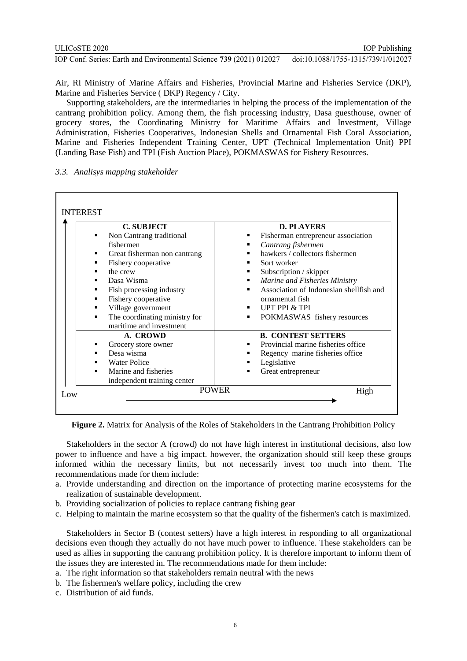Air, RI Ministry of Marine Affairs and Fisheries, Provincial Marine and Fisheries Service (DKP), Marine and Fisheries Service ( DKP) Regency / City.

Supporting stakeholders, are the intermediaries in helping the process of the implementation of the cantrang prohibition policy. Among them, the fish processing industry, Dasa guesthouse, owner of grocery stores, the Coordinating Ministry for Maritime Affairs and Investment, Village Administration, Fisheries Cooperatives, Indonesian Shells and Ornamental Fish Coral Association, Marine and Fisheries Independent Training Center, UPT (Technical Implementation Unit) PPI (Landing Base Fish) and TPI (Fish Auction Place), POKMASWAS for Fishery Resources.

*3.3. Analisys mapping stakeholder* 

| <b>C. SUBJECT</b>             | <b>D. PLAYERS</b>                       |
|-------------------------------|-----------------------------------------|
| Non Cantrang traditional      | Fisherman entrepreneur association      |
| fishermen                     | Cantrang fishermen                      |
| Great fisherman non cantrang  | hawkers / collectors fishermen          |
| Fishery cooperative           | Sort worker                             |
| the crew                      | Subscription / skipper                  |
| Dasa Wisma                    | Marine and Fisheries Ministry           |
| Fish processing industry      | Association of Indonesian shellfish and |
| Fishery cooperative           | ornamental fish                         |
| Village government            | <b>UPT PPI &amp; TPI</b>                |
| The coordinating ministry for | POKMASWAS fishery resources<br>٠        |
| maritime and investment       |                                         |
| A. CROWD                      | <b>B. CONTEST SETTERS</b>               |
| Grocery store owner           | Provincial marine fisheries office      |
| Desa wisma                    | Regency marine fisheries office         |
| <b>Water Police</b>           | Legislative                             |
| Marine and fisheries          | Great entrepreneur                      |
| independent training center   |                                         |
| <b>POWER</b><br>Low           | High                                    |

**Figure 2.** Matrix for Analysis of the Roles of Stakeholders in the Cantrang Prohibition Policy

Stakeholders in the sector A (crowd) do not have high interest in institutional decisions, also low power to influence and have a big impact. however, the organization should still keep these groups informed within the necessary limits, but not necessarily invest too much into them. The recommendations made for them include:

- a. Provide understanding and direction on the importance of protecting marine ecosystems for the realization of sustainable development.
- b. Providing socialization of policies to replace cantrang fishing gear
- c. Helping to maintain the marine ecosystem so that the quality of the fishermen's catch is maximized.

Stakeholders in Sector B (contest setters) have a high interest in responding to all organizational decisions even though they actually do not have much power to influence. These stakeholders can be used as allies in supporting the cantrang prohibition policy. It is therefore important to inform them of the issues they are interested in. The recommendations made for them include:

a. The right information so that stakeholders remain neutral with the news

b. The fishermen's welfare policy, including the crew

c. Distribution of aid funds.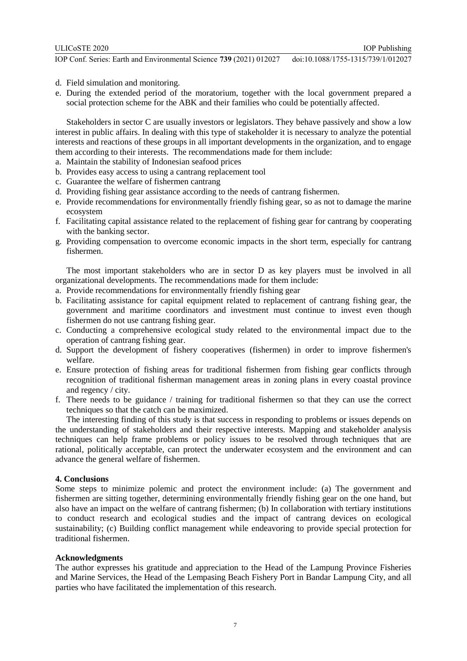- d. Field simulation and monitoring.
- e. During the extended period of the moratorium, together with the local government prepared a social protection scheme for the ABK and their families who could be potentially affected.

Stakeholders in sector C are usually investors or legislators. They behave passively and show a low interest in public affairs. In dealing with this type of stakeholder it is necessary to analyze the potential interests and reactions of these groups in all important developments in the organization, and to engage them according to their interests. The recommendations made for them include:

- a. Maintain the stability of Indonesian seafood prices
- b. Provides easy access to using a cantrang replacement tool
- c. Guarantee the welfare of fishermen cantrang
- d. Providing fishing gear assistance according to the needs of cantrang fishermen.
- e. Provide recommendations for environmentally friendly fishing gear, so as not to damage the marine ecosystem
- f. Facilitating capital assistance related to the replacement of fishing gear for cantrang by cooperating with the banking sector.
- g. Providing compensation to overcome economic impacts in the short term, especially for cantrang fishermen.

The most important stakeholders who are in sector D as key players must be involved in all organizational developments. The recommendations made for them include:

- a. Provide recommendations for environmentally friendly fishing gear
- b. Facilitating assistance for capital equipment related to replacement of cantrang fishing gear, the government and maritime coordinators and investment must continue to invest even though fishermen do not use cantrang fishing gear.
- c. Conducting a comprehensive ecological study related to the environmental impact due to the operation of cantrang fishing gear.
- d. Support the development of fishery cooperatives (fishermen) in order to improve fishermen's welfare.
- e. Ensure protection of fishing areas for traditional fishermen from fishing gear conflicts through recognition of traditional fisherman management areas in zoning plans in every coastal province and regency / city.
- f. There needs to be guidance / training for traditional fishermen so that they can use the correct techniques so that the catch can be maximized.

The interesting finding of this study is that success in responding to problems or issues depends on the understanding of stakeholders and their respective interests. Mapping and stakeholder analysis techniques can help frame problems or policy issues to be resolved through techniques that are rational, politically acceptable, can protect the underwater ecosystem and the environment and can advance the general welfare of fishermen.

#### **4. Conclusions**

Some steps to minimize polemic and protect the environment include: (a) The government and fishermen are sitting together, determining environmentally friendly fishing gear on the one hand, but also have an impact on the welfare of cantrang fishermen; (b) In collaboration with tertiary institutions to conduct research and ecological studies and the impact of cantrang devices on ecological sustainability; (c) Building conflict management while endeavoring to provide special protection for traditional fishermen.

#### **Acknowledgments**

The author expresses his gratitude and appreciation to the Head of the Lampung Province Fisheries and Marine Services, the Head of the Lempasing Beach Fishery Port in Bandar Lampung City, and all parties who have facilitated the implementation of this research.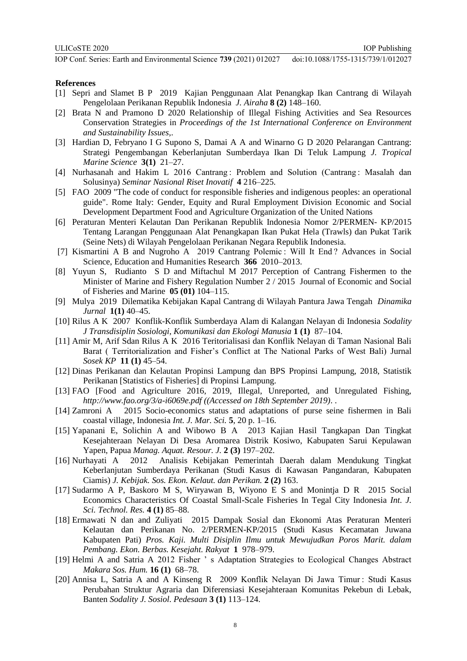#### **References**

- [1] Sepri and Slamet B P 2019 Kajian Penggunaan Alat Penangkap Ikan Cantrang di Wilayah Pengelolaan Perikanan Republik Indonesia *J. Airaha* **8 (2)** 148–160.
- [2] Brata N and Pramono D 2020 Relationship of Illegal Fishing Activities and Sea Resources Conservation Strategies in *Proceedings of the 1st International Conference on Environment and Sustainability Issues,*.
- [3] Hardian D, Febryano I G Supono S, Damai A A and Winarno G D 2020 Pelarangan Cantrang: Strategi Pengembangan Keberlanjutan Sumberdaya Ikan Di Teluk Lampung *J. Tropical Marine Science* **3(1)** 21–27.
- [4] Nurhasanah and Hakim L 2016 Cantrang : Problem and Solution (Cantrang : Masalah dan Solusinya) *Seminar Nasional Riset Inovatif* **4** 216–225.
- [5] FAO 2009 "The code of conduct for responsible fisheries and indigenous peoples: an operational guide". Rome Italy: Gender, Equity and Rural Employment Division Economic and Social Development Department Food and Agriculture Organization of the United Nations
- [6] Peraturan Menteri Kelautan Dan Perikanan Republik Indonesia Nomor 2/PERMEN- KP/2015 Tentang Larangan Penggunaan Alat Penangkapan Ikan Pukat Hela (Trawls) dan Pukat Tarik (Seine Nets) di Wilayah Pengelolaan Perikanan Negara Republik Indonesia.
- [7] Kismartini A B and Nugroho A 2019 Cantrang Polemic : Will It End? Advances in Social Science, Education and Humanities Research **366** 2010–2013.
- [8] Yuyun S, Rudianto S D and Miftachul M 2017 Perception of Cantrang Fishermen to the Minister of Marine and Fishery Regulation Number 2 / 2015 Journal of Economic and Social of Fisheries and Marine **05 (01)** 104–115.
- [9] Mulya 2019 Dilematika Kebijakan Kapal Cantrang di Wilayah Pantura Jawa Tengah *Dinamika Jurnal* **1(1)** 40–45.
- [10] Rilus A K 2007 Konflik-Konflik Sumberdaya Alam di Kalangan Nelayan di Indonesia *Sodality J Transdisiplin Sosiologi, Komunikasi dan Ekologi Manusia* **1 (1)** 87–104.
- [11] Amir M, Arif Sdan Rilus A K 2016 Teritorialisasi dan Konflik Nelayan di Taman Nasional Bali Barat ( Territorialization and Fisher's Conflict at The National Parks of West Bali) Jurnal *Sosek KP* **11 (1)** 45–54.
- [12] Dinas Perikanan dan Kelautan Propinsi Lampung dan BPS Propinsi Lampung, 2018, Statistik Perikanan [Statistics of Fisheries] di Propinsi Lampung.
- [13] FAO [Food and Agriculture 2016, 2019, Illegal, Unreported, and Unregulated Fishing, *http://www.fao.org/3/a-i6069e.pdf ((Accessed on 18th September 2019)*. .
- [14] Zamroni A 2015 Socio-economics status and adaptations of purse seine fishermen in Bali coastal village, Indonesia *Int. J. Mar. Sci.* **5**, 20 p. 1–16.
- [15] Yapanani E, Solichin A and Wibowo B A 2013 Kajian Hasil Tangkapan Dan Tingkat Kesejahteraan Nelayan Di Desa Aromarea Distrik Kosiwo, Kabupaten Sarui Kepulawan Yapen, Papua *Manag. Aquat. Resour. J.* **2 (3)** 197–202.
- [16] Nurhayati A 2012 Analisis Kebijakan Pemerintah Daerah dalam Mendukung Tingkat Keberlanjutan Sumberdaya Perikanan (Studi Kasus di Kawasan Pangandaran, Kabupaten Ciamis) *J. Kebijak. Sos. Ekon. Kelaut. dan Perikan.* **2 (2)** 163.
- [17] Sudarmo A P, Baskoro M S, Wiryawan B, Wiyono E S and Monintja D R 2015 Social Economics Characteristics Of Coastal Small-Scale Fisheries In Tegal City Indonesia *Int. J. Sci. Technol. Res.* **4 (1)** 85–88.
- [18] Ermawati N dan and Zuliyati 2015 Dampak Sosial dan Ekonomi Atas Peraturan Menteri Kelautan dan Perikanan No. 2/PERMEN-KP/2015 (Studi Kasus Kecamatan Juwana Kabupaten Pati) *Pros. Kaji. Multi Disiplin Ilmu untuk Mewujudkan Poros Marit. dalam Pembang. Ekon. Berbas. Kesejaht. Rakyat* **1** 978–979.
- [19] Helmi A and Satria A 2012 Fisher ' s Adaptation Strategies to Ecological Changes Abstract *Makara Sos. Hum.* **16 (1)** 68–78.
- [20] Annisa L, Satria A and A Kinseng R 2009 Konflik Nelayan Di Jawa Timur : Studi Kasus Perubahan Struktur Agraria dan Diferensiasi Kesejahteraan Komunitas Pekebun di Lebak, Banten *Sodality J. Sosiol. Pedesaan* **3 (1)** 113–124.